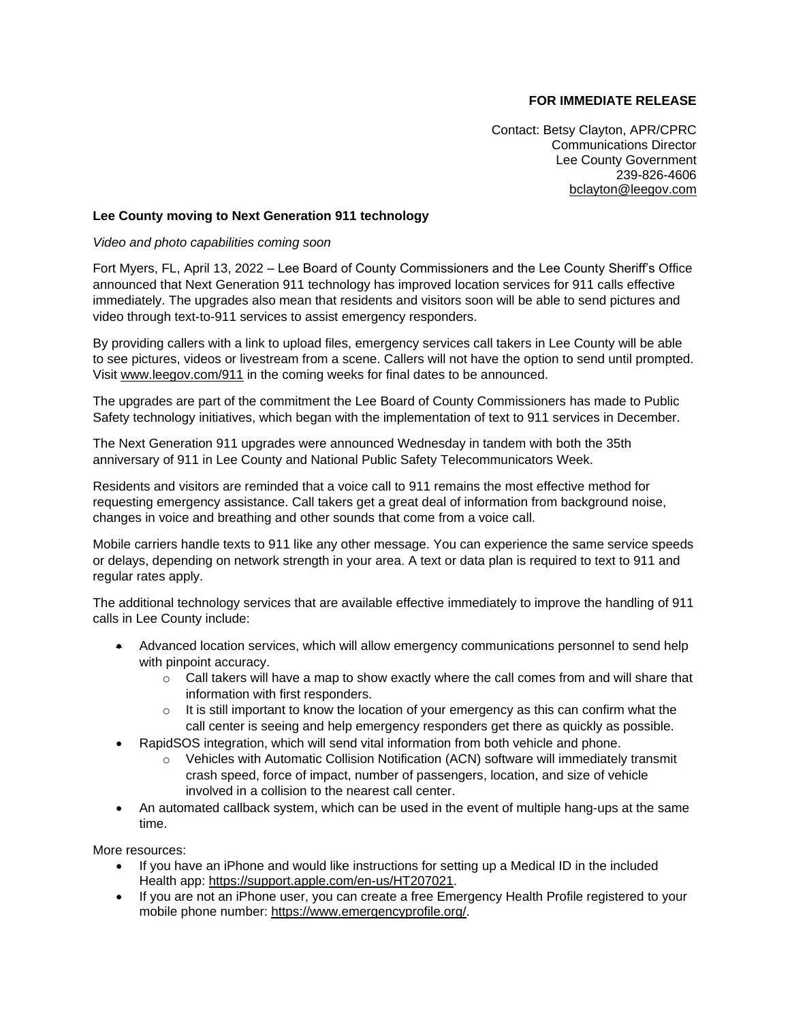## **FOR IMMEDIATE RELEASE**

Contact: Betsy Clayton, APR/CPRC Communications Director Lee County Government 239-826-4606 [bclayton@leegov.com](mailto:bclayton@leegov.com)

## **Lee County moving to Next Generation 911 technology**

## *Video and photo capabilities coming soon*

Fort Myers, FL, April 13, 2022 – Lee Board of County Commissioners and the Lee County Sheriff's Office announced that Next Generation 911 technology has improved location services for 911 calls effective immediately. The upgrades also mean that residents and visitors soon will be able to send pictures and video through text-to-911 services to assist emergency responders.

By providing callers with a link to upload files, emergency services call takers in Lee County will be able to see pictures, videos or livestream from a scene. Callers will not have the option to send until prompted. Visit [www.leegov.com/911](http://www.leegov.com/911) in the coming weeks for final dates to be announced.

The upgrades are part of the commitment the Lee Board of County Commissioners has made to Public Safety technology initiatives, which began with the implementation of text to 911 services in December.

The Next Generation 911 upgrades were announced Wednesday in tandem with both the 35th anniversary of 911 in Lee County and National Public Safety Telecommunicators Week.

Residents and visitors are reminded that a voice call to 911 remains the most effective method for requesting emergency assistance. Call takers get a great deal of information from background noise, changes in voice and breathing and other sounds that come from a voice call.

Mobile carriers handle texts to 911 like any other message. You can experience the same service speeds or delays, depending on network strength in your area. A text or data plan is required to text to 911 and regular rates apply.

The additional technology services that are available effective immediately to improve the handling of 911 calls in Lee County include:

- Advanced location services, which will allow emergency communications personnel to send help with pinpoint accuracy.
	- $\circ$  Call takers will have a map to show exactly where the call comes from and will share that information with first responders.
	- $\circ$  It is still important to know the location of your emergency as this can confirm what the call center is seeing and help emergency responders get there as quickly as possible.
- RapidSOS integration, which will send vital information from both vehicle and phone.
	- o Vehicles with Automatic Collision Notification (ACN) software will immediately transmit crash speed, force of impact, number of passengers, location, and size of vehicle involved in a collision to the nearest call center.
- An automated callback system, which can be used in the event of multiple hang-ups at the same time.

More resources:

- If you have an iPhone and would like instructions for setting up a Medical ID in the included Health app: [https://support.apple.com/en-us/HT207021.](https://support.apple.com/en-us/HT207021)
- If you are not an iPhone user, you can create a free Emergency Health Profile registered to your mobile phone number: [https://www.emergencyprofile.org/.](https://www.emergencyprofile.org/)